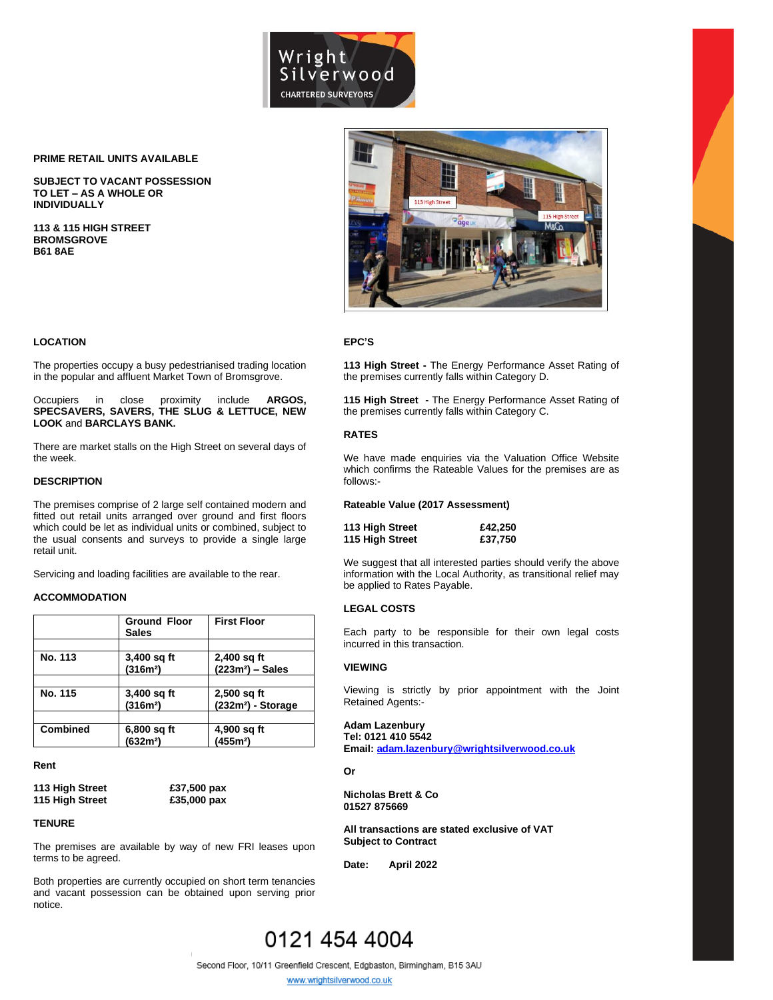

#### **PRIME RETAIL UNITS AVAILABLE**

**SUBJECT TO VACANT POSSESSION TO LET – AS A WHOLE OR INDIVIDUALLY**

**113 & 115 HIGH STREET BROMSGROVE B61 8AE**



#### **EPC'S**

**113 High Street -** The Energy Performance Asset Rating of the premises currently falls within Category D.

**115 High Street -** The Energy Performance Asset Rating of the premises currently falls within Category C.

# **RATES**

We have made enquiries via the Valuation Office Website which confirms the Rateable Values for the premises are as follows:-

#### **Rateable Value (2017 Assessment)**

| 113 High Street | £42,250 |
|-----------------|---------|
| 115 High Street | £37,750 |

We suggest that all interested parties should verify the above information with the Local Authority, as transitional relief may be applied to Rates Payable.

#### **LEGAL COSTS**

Each party to be responsible for their own legal costs incurred in this transaction.

## **VIEWING**

Viewing is strictly by prior appointment with the Joint Retained Agents:-

# **Adam Lazenbury Tel: 0121 410 5542**

**Email[: adam.lazenbury@wrightsilverwood.co.uk](mailto:adam.lazenbury@wrightsilverwood.co.uk)**

**Or** 

**Nicholas Brett & Co 01527 875669**

**All transactions are stated exclusive of VAT Subject to Contract**

**Date: April 2022**

### **LOCATION**

The properties occupy a busy pedestrianised trading location in the popular and affluent Market Town of Bromsgrove.

Occupiers in close proximity include **ARGOS, SPECSAVERS, SAVERS, THE SLUG & LETTUCE, NEW LOOK** and **BARCLAYS BANK.** 

There are market stalls on the High Street on several days of the week.

#### **DESCRIPTION**

The premises comprise of 2 large self contained modern and fitted out retail units arranged over ground and first floors which could be let as individual units or combined, subject to the usual consents and surveys to provide a single large retail unit.

Servicing and loading facilities are available to the rear.

#### **ACCOMMODATION**

|                 | <b>Ground Floor</b><br><b>Sales</b> | <b>First Floor</b>             |
|-----------------|-------------------------------------|--------------------------------|
|                 |                                     |                                |
| No. 113         | 3,400 sq ft                         | 2,400 sq ft                    |
|                 | (316m <sup>2</sup> )                | $(223m2)$ - Sales              |
|                 |                                     |                                |
| No. 115         | 3,400 sq ft                         | $2,500$ sq ft                  |
|                 | (316m <sup>2</sup> )                | (232m <sup>2</sup> ) - Storage |
|                 |                                     |                                |
| <b>Combined</b> | 6,800 sq ft                         | 4,900 sq ft                    |
|                 | (632m <sup>2</sup> )                | (455m <sup>2</sup> )           |

#### **Rent**

**113 High Street £37,500 pax 115 High Street £35,000 pax**

### **TENURE**

The premises are available by way of new FRI leases upon terms to be agreed.

Both properties are currently occupied on short term tenancies and vacant possession can be obtained upon serving prior notice.

# 0121 454 4004